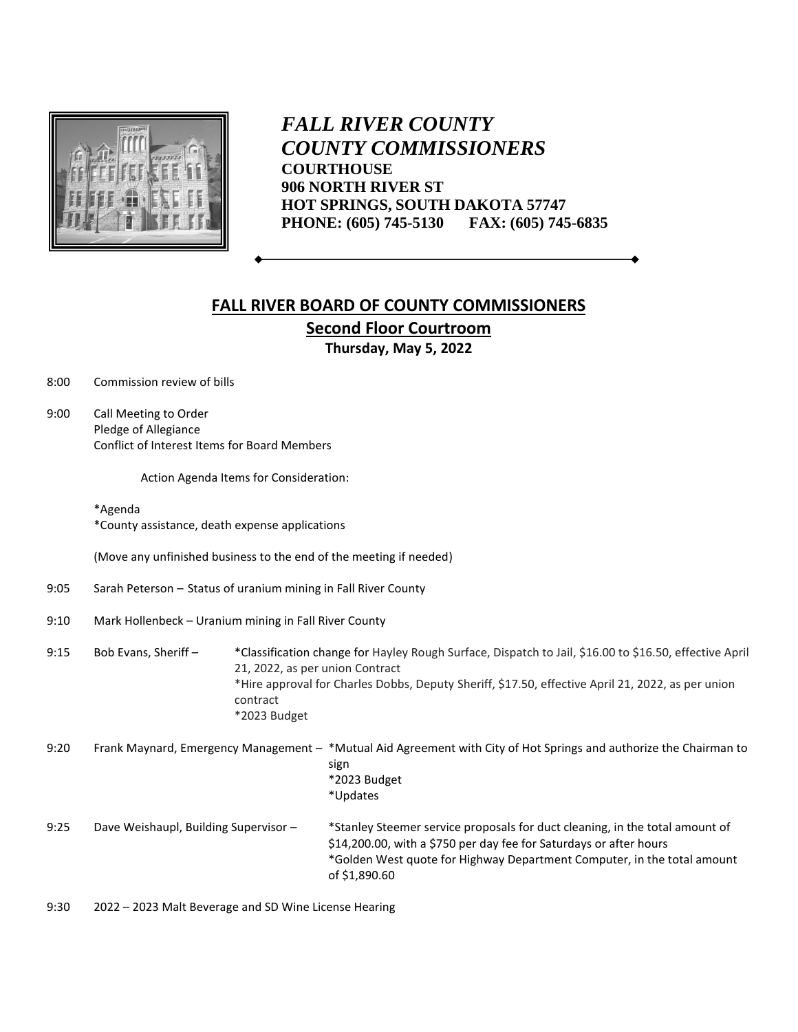

*FALL RIVER COUNTY COUNTY COMMISSIONERS* **COURTHOUSE 906 NORTH RIVER ST HOT SPRINGS, SOUTH DAKOTA 57747 PHONE: (605) 745-5130 FAX: (605) 745-6835**

## **FALL RIVER BOARD OF COUNTY COMMISSIONERS Second Floor Courtroom Thursday, May 5, 2022**

8:00 Commission review of bills

9:00 Call Meeting to Order Pledge of Allegiance Conflict of Interest Items for Board Members

Action Agenda Items for Consideration:

## \*Agenda \*County assistance, death expense applications

(Move any unfinished business to the end of the meeting if needed)

- 9:05 Sarah Peterson Status of uranium mining in Fall River County
- 9:10 Mark Hollenbeck Uranium mining in Fall River County
- 9:15 Bob Evans, Sheriff \*Classification change for Hayley Rough Surface, Dispatch to Jail, \$16.00 to \$16.50, effective April 21, 2022, as per union Contract \*Hire approval for Charles Dobbs, Deputy Sheriff, \$17.50, effective April 21, 2022, as per union contract \*2023 Budget
- 9:20 Frank Maynard, Emergency Management \*Mutual Aid Agreement with City of Hot Springs and authorize the Chairman to sign \*2023 Budget \*Updates 9:25 Dave Weishaupl, Building Supervisor – \*Stanley Steemer service proposals for duct cleaning, in the total amount of \$14,200.00, with a \$750 per day fee for Saturdays or after hours \*Golden West quote for Highway Department Computer, in the total amount of \$1,890.60

9:30 2022 – 2023 Malt Beverage and SD Wine License Hearing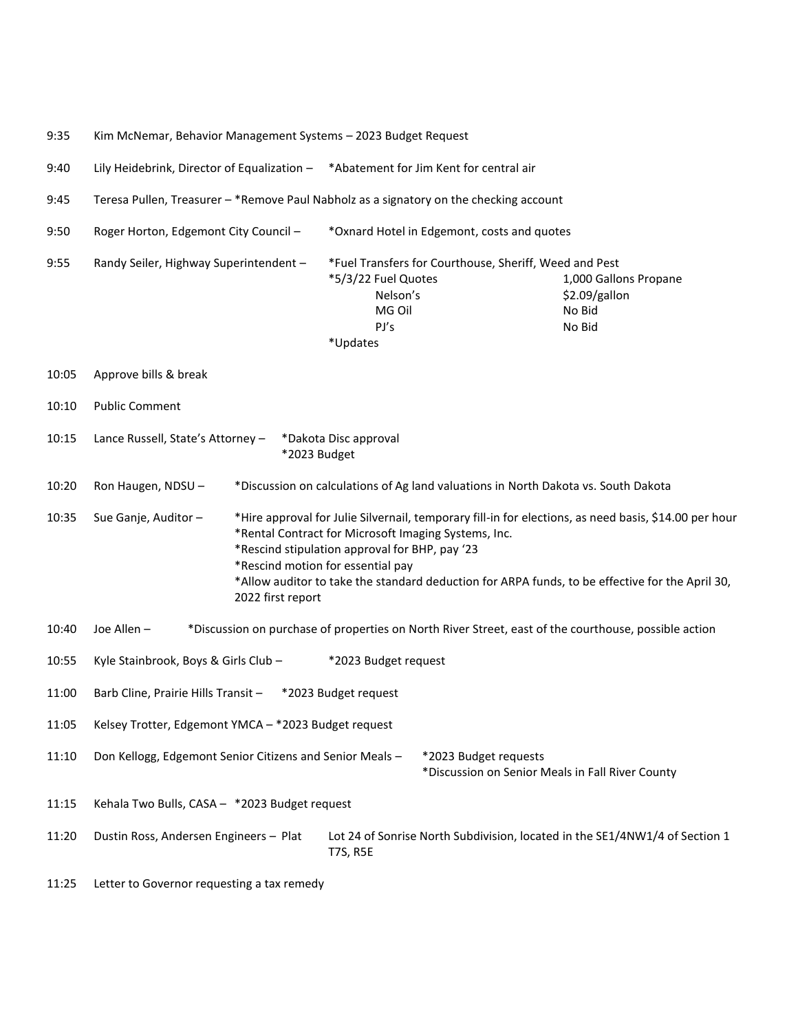- 9:35 Kim McNemar, Behavior Management Systems 2023 Budget Request
- 9:40 Lily Heidebrink, Director of Equalization \*Abatement for Jim Kent for central air
- 9:45 Teresa Pullen, Treasurer \*Remove Paul Nabholz as a signatory on the checking account
- 9:50 Roger Horton, Edgemont City Council \*Oxnard Hotel in Edgemont, costs and quotes 9:55 Randy Seiler, Highway Superintendent – \*Fuel Transfers for Courthouse, Sheriff, Weed and Pest \*5/3/22 Fuel Quotes 1,000 Gallons Propane Nelson's \$2.09/gallon MG Oil No Bid PJ's No Bid \*Updates 10:05 Approve bills & break 10:10 Public Comment 10:15 Lance Russell, State's Attorney – \*Dakota Disc approval \*2023 Budget 10:20 Ron Haugen, NDSU – \*Discussion on calculations of Ag land valuations in North Dakota vs. South Dakota 10:35 Sue Ganje, Auditor – \*Hire approval for Julie Silvernail, temporary fill-in for elections, as need basis, \$14.00 per hour \*Rental Contract for Microsoft Imaging Systems, Inc. \*Rescind stipulation approval for BHP, pay '23 \*Rescind motion for essential pay \*Allow auditor to take the standard deduction for ARPA funds, to be effective for the April 30, 2022 first report 10:40 Joe Allen – \*Discussion on purchase of properties on North River Street, east of the courthouse, possible action 10:55 Kyle Stainbrook, Boys & Girls Club – \*2023 Budget request 11:00 Barb Cline, Prairie Hills Transit – \*2023 Budget request 11:05 Kelsey Trotter, Edgemont YMCA – \*2023 Budget request 11:10 Don Kellogg, Edgemont Senior Citizens and Senior Meals – \*2023 Budget requests \*Discussion on Senior Meals in Fall River County 11:15 Kehala Two Bulls, CASA – \*2023 Budget request 11:20 Dustin Ross, Andersen Engineers – Plat Lot 24 of Sonrise North Subdivision, located in the SE1/4NW1/4 of Section 1 T7S, R5E
- 11:25 Letter to Governor requesting a tax remedy